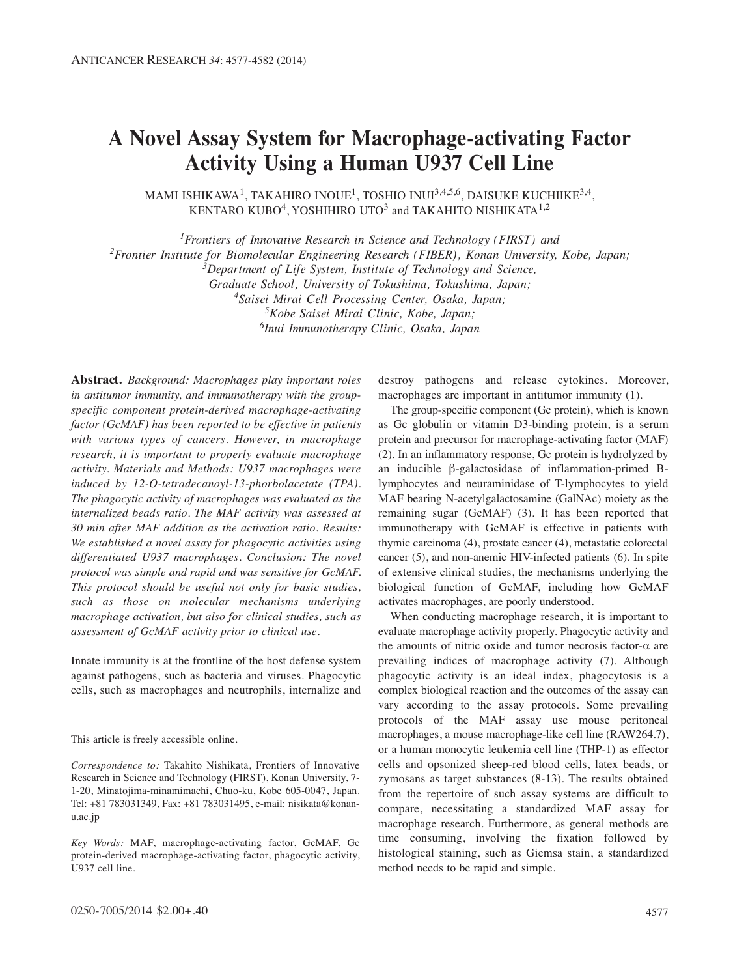# **A Novel Assay System for Macrophage-activating Factor Activity Using a Human U937 Cell Line**

MAMI ISHIKAWA<sup>1</sup>, TAKAHIRO INOUE<sup>1</sup>, TOSHIO INUI<sup>3,4,5,6</sup>, DAISUKE KUCHIIKE<sup>3,4</sup>, KENTARO KUBO<sup>4</sup>, YOSHIHIRO UTO<sup>3</sup> and TAKAHITO NISHIKATA<sup>1,2</sup>

*1Frontiers of Innovative Research in Science and Technology (FIRST) and* 

*2Frontier Institute for Biomolecular Engineering Research (FIBER), Konan University, Kobe, Japan;*

*3Department of Life System, Institute of Technology and Science,* 

*Graduate School, University of Tokushima, Tokushima, Japan;*

*4Saisei Mirai Cell Processing Center, Osaka, Japan;*

*5Kobe Saisei Mirai Clinic, Kobe, Japan;*

*6Inui Immunotherapy Clinic, Osaka, Japan*

**Abstract.** *Background: Macrophages play important roles in antitumor immunity, and immunotherapy with the groupspecific component protein-derived macrophage-activating factor (GcMAF) has been reported to be effective in patients with various types of cancers. However, in macrophage research, it is important to properly evaluate macrophage activity. Materials and Methods: U937 macrophages were induced by 12-O-tetradecanoyl-13-phorbolacetate (TPA). The phagocytic activity of macrophages was evaluated as the internalized beads ratio. The MAF activity was assessed at 30 min after MAF addition as the activation ratio. Results: We established a novel assay for phagocytic activities using differentiated U937 macrophages. Conclusion: The novel protocol was simple and rapid and was sensitive for GcMAF. This protocol should be useful not only for basic studies, such as those on molecular mechanisms underlying macrophage activation, but also for clinical studies, such as assessment of GcMAF activity prior to clinical use.*

Innate immunity is at the frontline of the host defense system against pathogens, such as bacteria and viruses. Phagocytic cells, such as macrophages and neutrophils, internalize and

This article is freely accessible online.

*Correspondence to:* Takahito Nishikata, Frontiers of Innovative Research in Science and Technology (FIRST), Konan University, 7- 1-20, Minatojima-minamimachi, Chuo-ku, Kobe 605-0047, Japan. Tel: +81 783031349, Fax: +81 783031495, e-mail: nisikata@konanu.ac.jp

*Key Words:* MAF, macrophage-activating factor, GcMAF, Gc protein-derived macrophage-activating factor, phagocytic activity, U937 cell line.

destroy pathogens and release cytokines. Moreover, macrophages are important in antitumor immunity (1).

The group-specific component (Gc protein), which is known as Gc globulin or vitamin D3-binding protein, is a serum protein and precursor for macrophage-activating factor (MAF) (2). In an inflammatory response, Gc protein is hydrolyzed by an inducible β-galactosidase of inflammation-primed Blymphocytes and neuraminidase of T-lymphocytes to yield MAF bearing N-acetylgalactosamine (GalNAc) moiety as the remaining sugar (GcMAF) (3). It has been reported that immunotherapy with GcMAF is effective in patients with thymic carcinoma (4), prostate cancer (4), metastatic colorectal cancer (5), and non-anemic HIV-infected patients (6). In spite of extensive clinical studies, the mechanisms underlying the biological function of GcMAF, including how GcMAF activates macrophages, are poorly understood.

When conducting macrophage research, it is important to evaluate macrophage activity properly. Phagocytic activity and the amounts of nitric oxide and tumor necrosis factor- $α$  are prevailing indices of macrophage activity (7). Although phagocytic activity is an ideal index, phagocytosis is a complex biological reaction and the outcomes of the assay can vary according to the assay protocols. Some prevailing protocols of the MAF assay use mouse peritoneal macrophages, a mouse macrophage-like cell line (RAW264.7), or a human monocytic leukemia cell line (THP-1) as effector cells and opsonized sheep-red blood cells, latex beads, or zymosans as target substances (8-13). The results obtained from the repertoire of such assay systems are difficult to compare, necessitating a standardized MAF assay for macrophage research. Furthermore, as general methods are time consuming, involving the fixation followed by histological staining, such as Giemsa stain, a standardized method needs to be rapid and simple.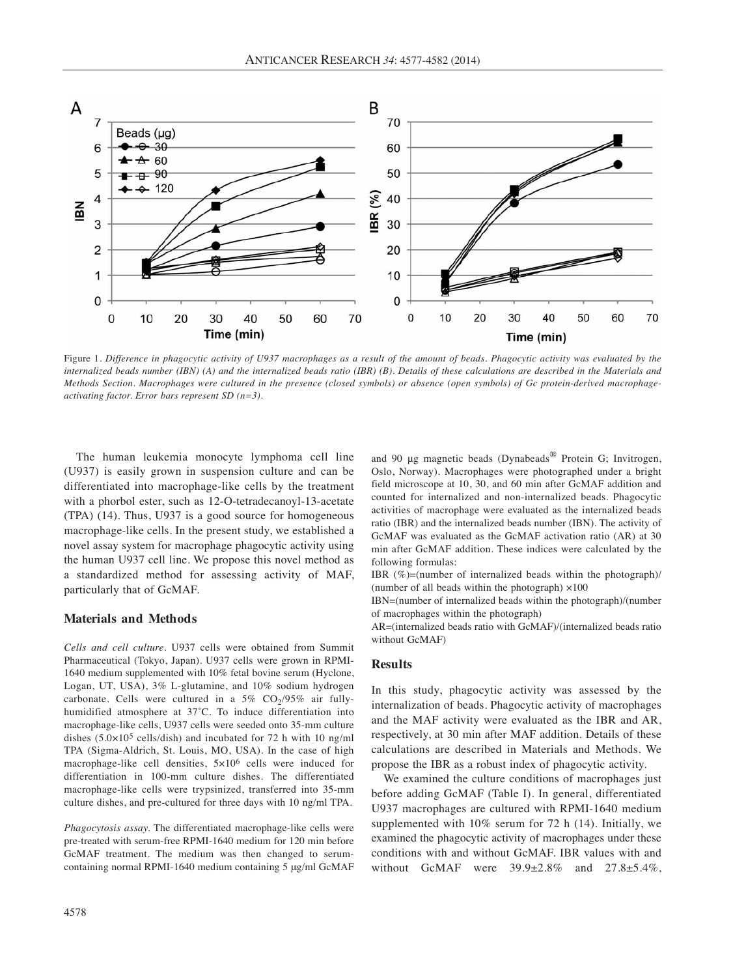

Figure 1. *Difference in phagocytic activity of U937 macrophages as a result of the amount of beads. Phagocytic activity was evaluated by the internalized beads number (IBN) (A) and the internalized beads ratio (IBR) (B). Details of these calculations are described in the Materials and Methods Section. Macrophages were cultured in the presence (closed symbols) or absence (open symbols) of Gc protein-derived macrophageactivating factor. Error bars represent SD (n=3).*

The human leukemia monocyte lymphoma cell line (U937) is easily grown in suspension culture and can be differentiated into macrophage-like cells by the treatment with a phorbol ester, such as 12-O-tetradecanoyl-13-acetate (TPA) (14). Thus, U937 is a good source for homogeneous macrophage-like cells. In the present study, we established a novel assay system for macrophage phagocytic activity using the human U937 cell line. We propose this novel method as a standardized method for assessing activity of MAF, particularly that of GcMAF.

### **Materials and Methods**

*Cells and cell culture.* U937 cells were obtained from Summit Pharmaceutical (Tokyo, Japan). U937 cells were grown in RPMI-1640 medium supplemented with 10% fetal bovine serum (Hyclone, Logan, UT, USA), 3% L-glutamine, and 10% sodium hydrogen carbonate. Cells were cultured in a 5%  $CO<sub>2</sub>/95%$  air fullyhumidified atmosphere at 37˚C. To induce differentiation into macrophage-like cells, U937 cells were seeded onto 35-mm culture dishes  $(5.0 \times 10^5 \text{ cells/dish})$  and incubated for 72 h with 10 ng/ml TPA (Sigma-Aldrich, St. Louis, MO, USA). In the case of high macrophage-like cell densities, 5×106 cells were induced for differentiation in 100-mm culture dishes. The differentiated macrophage-like cells were trypsinized, transferred into 35-mm culture dishes, and pre-cultured for three days with 10 ng/ml TPA.

*Phagocytosis assay.* The differentiated macrophage-like cells were pre-treated with serum-free RPMI-1640 medium for 120 min before GcMAF treatment. The medium was then changed to serumcontaining normal RPMI-1640 medium containing 5 μg/ml GcMAF and 90 μg magnetic beads (Dynabeads® Protein G; Invitrogen, Oslo, Norway). Macrophages were photographed under a bright field microscope at 10, 30, and 60 min after GcMAF addition and counted for internalized and non-internalized beads. Phagocytic activities of macrophage were evaluated as the internalized beads ratio (IBR) and the internalized beads number (IBN). The activity of GcMAF was evaluated as the GcMAF activation ratio (AR) at 30 min after GcMAF addition. These indices were calculated by the following formulas:

IBR (%)=(number of internalized beads within the photograph)/ (number of all beads within the photograph) ×100

IBN=(number of internalized beads within the photograph)/(number of macrophages within the photograph)

AR=(internalized beads ratio with GcMAF)/(internalized beads ratio without GcMAF)

#### **Results**

In this study, phagocytic activity was assessed by the internalization of beads. Phagocytic activity of macrophages and the MAF activity were evaluated as the IBR and AR, respectively, at 30 min after MAF addition. Details of these calculations are described in Materials and Methods. We propose the IBR as a robust index of phagocytic activity.

We examined the culture conditions of macrophages just before adding GcMAF (Table I). In general, differentiated U937 macrophages are cultured with RPMI-1640 medium supplemented with 10% serum for 72 h (14). Initially, we examined the phagocytic activity of macrophages under these conditions with and without GcMAF. IBR values with and without GcMAF were 39.9±2.8% and 27.8±5.4%,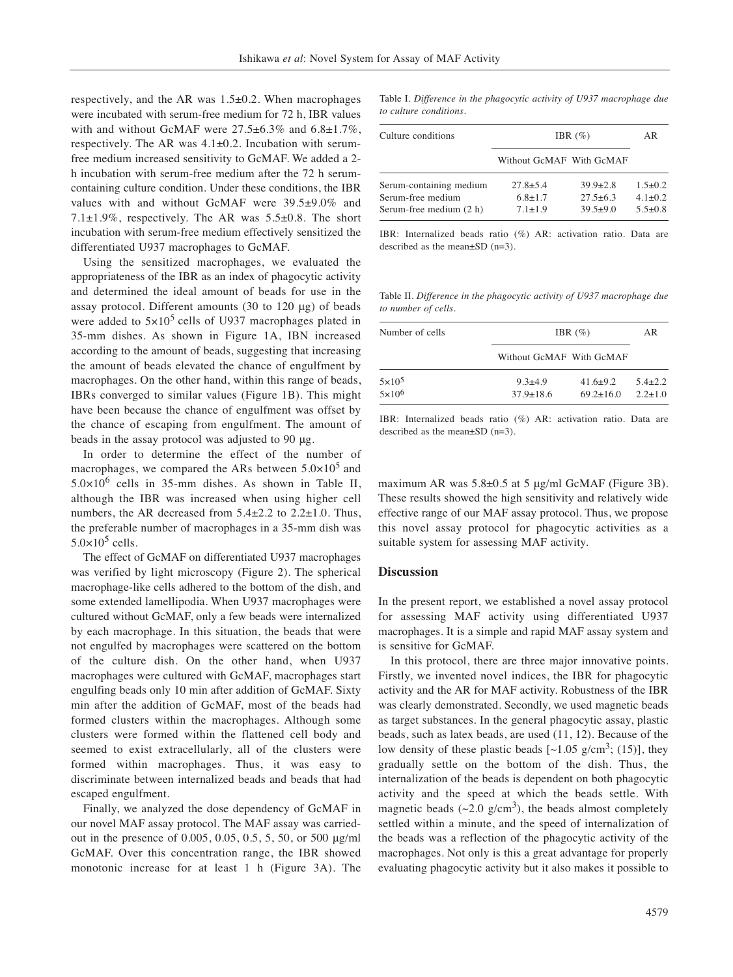respectively, and the AR was 1.5±0.2. When macrophages were incubated with serum-free medium for 72 h, IBR values with and without GcMAF were  $27.5\pm6.3\%$  and  $6.8\pm1.7\%$ , respectively. The AR was 4.1±0.2. Incubation with serumfree medium increased sensitivity to GcMAF. We added a 2 h incubation with serum-free medium after the 72 h serumcontaining culture condition. Under these conditions, the IBR values with and without GcMAF were 39.5±9.0% and 7.1 $\pm$ 1.9%, respectively. The AR was 5.5 $\pm$ 0.8. The short incubation with serum-free medium effectively sensitized the differentiated U937 macrophages to GcMAF.

Using the sensitized macrophages, we evaluated the appropriateness of the IBR as an index of phagocytic activity and determined the ideal amount of beads for use in the assay protocol. Different amounts (30 to 120 μg) of beads were added to  $5\times10^5$  cells of U937 macrophages plated in 35-mm dishes. As shown in Figure 1A, IBN increased according to the amount of beads, suggesting that increasing the amount of beads elevated the chance of engulfment by macrophages. On the other hand, within this range of beads, IBRs converged to similar values (Figure 1B). This might have been because the chance of engulfment was offset by the chance of escaping from engulfment. The amount of beads in the assay protocol was adjusted to 90 μg.

In order to determine the effect of the number of macrophages, we compared the ARs between  $5.0\times10^{5}$  and  $5.0 \times 10^6$  cells in 35-mm dishes. As shown in Table II, although the IBR was increased when using higher cell numbers, the AR decreased from 5.4±2.2 to 2.2±1.0. Thus, the preferable number of macrophages in a 35-mm dish was  $5.0\times10^5$  cells.

The effect of GcMAF on differentiated U937 macrophages was verified by light microscopy (Figure 2). The spherical macrophage-like cells adhered to the bottom of the dish, and some extended lamellipodia. When U937 macrophages were cultured without GcMAF, only a few beads were internalized by each macrophage. In this situation, the beads that were not engulfed by macrophages were scattered on the bottom of the culture dish. On the other hand, when U937 macrophages were cultured with GcMAF, macrophages start engulfing beads only 10 min after addition of GcMAF. Sixty min after the addition of GcMAF, most of the beads had formed clusters within the macrophages. Although some clusters were formed within the flattened cell body and seemed to exist extracellularly, all of the clusters were formed within macrophages. Thus, it was easy to discriminate between internalized beads and beads that had escaped engulfment.

Finally, we analyzed the dose dependency of GcMAF in our novel MAF assay protocol. The MAF assay was carriedout in the presence of 0.005, 0.05, 0.5, 5, 50, or 500 μg/ml GcMAF. Over this concentration range, the IBR showed monotonic increase for at least 1 h (Figure 3A). The Table I. *Difference in the phagocytic activity of U937 macrophage due to culture conditions.*

| Culture conditions                           | IBR $(\%)$                     |                                  | AR                             |
|----------------------------------------------|--------------------------------|----------------------------------|--------------------------------|
|                                              | Without GcMAF With GcMAF       |                                  |                                |
| Serum-containing medium                      | $27.8 \pm 5.4$                 | $39.9 \pm 2.8$                   | $1.5 \pm 0.2$                  |
| Serum-free medium<br>Serum-free medium (2 h) | $6.8 \pm 1.7$<br>$7.1 \pm 1.9$ | $27.5 \pm 6.3$<br>$39.5 \pm 9.0$ | $4.1 \pm 0.2$<br>$5.5 \pm 0.8$ |
|                                              |                                |                                  |                                |

IBR: Internalized beads ratio (%) AR: activation ratio. Data are described as the mean±SD (n=3).

Table II*. Difference in the phagocytic activity of U937 macrophage due to number of cells.*

| Number of cells                  |                                | IBR $(\%)$                        |                              |
|----------------------------------|--------------------------------|-----------------------------------|------------------------------|
|                                  | Without GcMAF With GcMAF       |                                   |                              |
| $5 \times 10^5$<br>$5\times10^6$ | $9.3 + 4.9$<br>$37.9 \pm 18.6$ | $41.6 \pm 9.2$<br>$69.2 \pm 16.0$ | $5.4 \pm 2.2$<br>$2.2 + 1.0$ |

IBR: Internalized beads ratio (%) AR: activation ratio. Data are described as the mean±SD (n=3).

maximum AR was 5.8±0.5 at 5 μg/ml GcMAF (Figure 3B). These results showed the high sensitivity and relatively wide effective range of our MAF assay protocol. Thus, we propose this novel assay protocol for phagocytic activities as a suitable system for assessing MAF activity.

## **Discussion**

In the present report, we established a novel assay protocol for assessing MAF activity using differentiated U937 macrophages. It is a simple and rapid MAF assay system and is sensitive for GcMAF.

In this protocol, there are three major innovative points. Firstly, we invented novel indices, the IBR for phagocytic activity and the AR for MAF activity. Robustness of the IBR was clearly demonstrated. Secondly, we used magnetic beads as target substances. In the general phagocytic assay, plastic beads, such as latex beads, are used (11, 12). Because of the low density of these plastic beads  $\lceil 2.05 \text{ g/cm}^3$ ; (15)], they gradually settle on the bottom of the dish. Thus, the internalization of the beads is dependent on both phagocytic activity and the speed at which the beads settle. With magnetic beads  $(\sim 2.0 \text{ g/cm}^3)$ , the beads almost completely settled within a minute, and the speed of internalization of the beads was a reflection of the phagocytic activity of the macrophages. Not only is this a great advantage for properly evaluating phagocytic activity but it also makes it possible to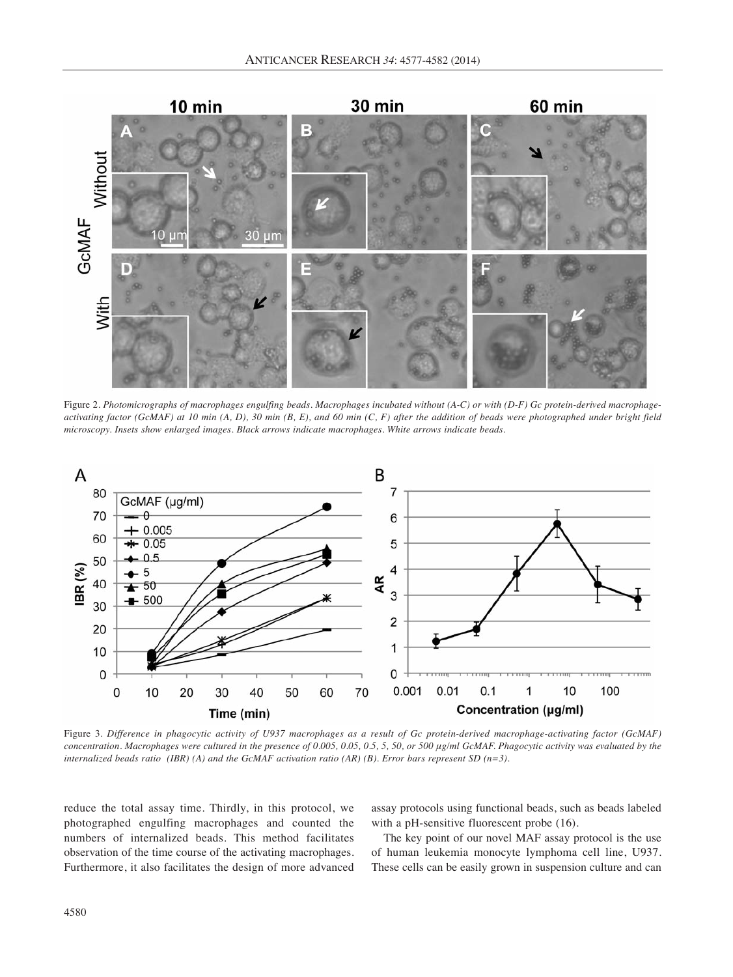

Figure 2. *Photomicrographs of macrophages engulfing beads. Macrophages incubated without (A-C) or with (D-F) Gc protein-derived macrophageactivating factor (GcMAF) at 10 min (A, D), 30 min (B, E), and 60 min (C, F) after the addition of beads were photographed under bright field microscopy. Insets show enlarged images. Black arrows indicate macrophages. White arrows indicate beads.*



Figure 3. *Difference in phagocytic activity of U937 macrophages as a result of Gc protein-derived macrophage-activating factor (GcMAF) concentration. Macrophages were cultured in the presence of 0.005, 0.05, 0.5, 5, 50, or 500 μg/ml GcMAF. Phagocytic activity was evaluated by the internalized beads ratio (IBR) (A) and the GcMAF activation ratio (AR) (B). Error bars represent SD (n=3).*

reduce the total assay time. Thirdly, in this protocol, we photographed engulfing macrophages and counted the numbers of internalized beads. This method facilitates observation of the time course of the activating macrophages. Furthermore, it also facilitates the design of more advanced

assay protocols using functional beads, such as beads labeled with a pH-sensitive fluorescent probe  $(16)$ .

The key point of our novel MAF assay protocol is the use of human leukemia monocyte lymphoma cell line, U937. These cells can be easily grown in suspension culture and can